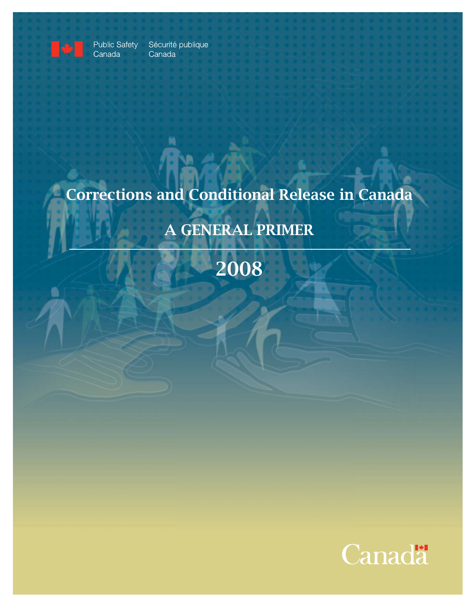

Public Safety<br>Canada

Sécurité publique Canada

# Corrections and Conditional Release in Canada

# A GENERAL PRIMER

2008

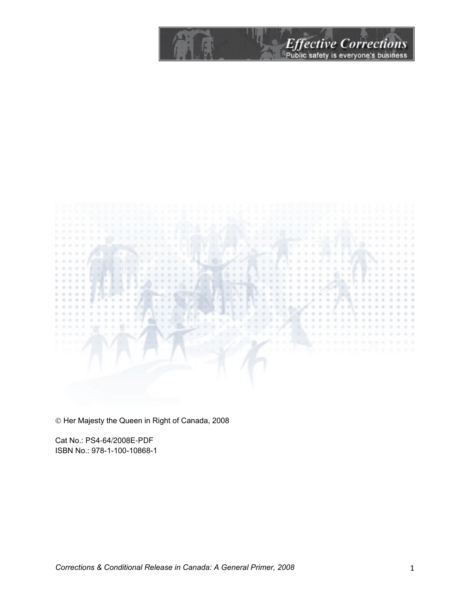Effective Corrections

 $1 - 1$ 

Her Majesty the Queen in Right of Canada, 2008

Cat No.: PS4-64/2008E-PDF ISBN No.: 978-1-100-10868-1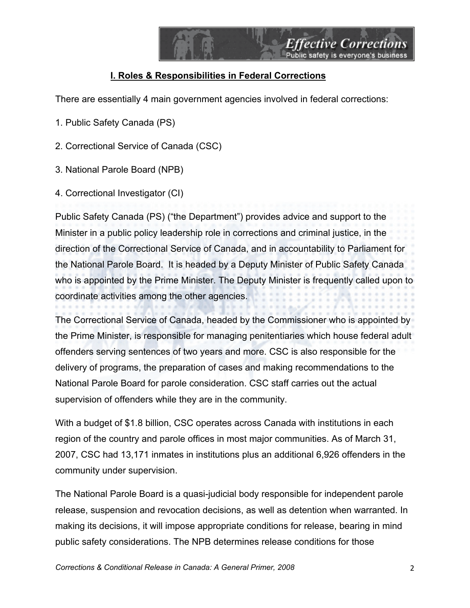

# **I. Roles & Responsibilities in Federal Corrections**

There are essentially 4 main government agencies involved in federal corrections:

- 1. Public Safety Canada (PS)
- 2. Correctional Service of Canada (CSC)
- 3. National Parole Board (NPB)
- 4. Correctional Investigator (CI)

Public Safety Canada (PS) ("the Department") provides advice and support to the Minister in a public policy leadership role in corrections and criminal justice, in the direction of the Correctional Service of Canada, and in accountability to Parliament for the National Parole Board. It is headed by a Deputy Minister of Public Safety Canada who is appointed by the Prime Minister. The Deputy Minister is frequently called upon to coordinate activities among the other agencies.

The Correctional Service of Canada, headed by the Commissioner who is appointed by the Prime Minister, is responsible for managing penitentiaries which house federal adult offenders serving sentences of two years and more. CSC is also responsible for the delivery of programs, the preparation of cases and making recommendations to the National Parole Board for parole consideration. CSC staff carries out the actual supervision of offenders while they are in the community.

With a budget of \$1.8 billion, CSC operates across Canada with institutions in each region of the country and parole offices in most major communities. As of March 31, 2007, CSC had 13,171 inmates in institutions plus an additional 6,926 offenders in the community under supervision.

The National Parole Board is a quasi-judicial body responsible for independent parole release, suspension and revocation decisions, as well as detention when warranted. In making its decisions, it will impose appropriate conditions for release, bearing in mind public safety considerations. The NPB determines release conditions for those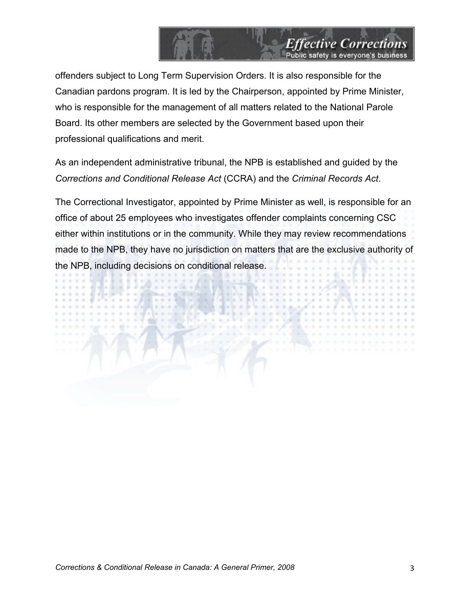

offenders subject to Long Term Supervision Orders. It is also responsible for the Canadian pardons program. It is led by the Chairperson, appointed by Prime Minister, who is responsible for the management of all matters related to the National Parole Board. Its other members are selected by the Government based upon their professional qualifications and merit.

As an independent administrative tribunal, the NPB is established and guided by the *Corrections and Conditional Release Act* (CCRA) and the *Criminal Records Act*.

The Correctional Investigator, appointed by Prime Minister as well, is responsible for an office of about 25 employees who investigates offender complaints concerning CSC either within institutions or in the community. While they may review recommendations made to the NPB, they have no jurisdiction on matters that are the exclusive authority of the NPB, including decisions on conditional release.

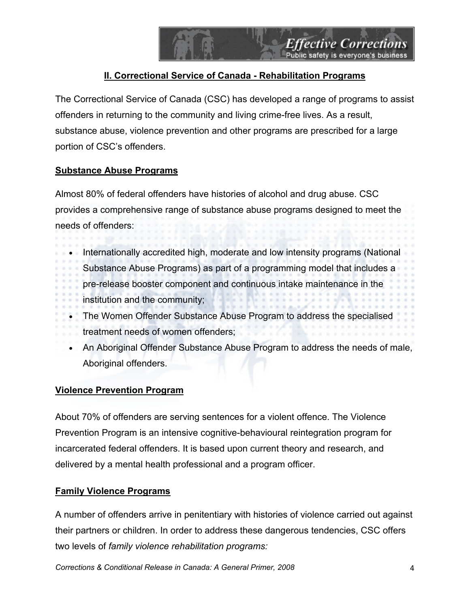# **II. Correctional Service of Canada - Rehabilitation Programs**

The Correctional Service of Canada (CSC) has developed a range of programs to assist offenders in returning to the community and living crime-free lives. As a result, substance abuse, violence prevention and other programs are prescribed for a large portion of CSC's offenders.

# **Substance Abuse Programs**

Almost 80% of federal offenders have histories of alcohol and drug abuse. CSC provides a comprehensive range of substance abuse programs designed to meet the needs of offenders:

- Internationally accredited high, moderate and low intensity programs (National
	- Substance Abuse Programs) as part of a programming model that includes a
	- pre-release booster component and continuous intake maintenance in the
	- institution and the community;
- The Women Offender Substance Abuse Program to address the specialised
- treatment needs of women offenders;
- An Aboriginal Offender Substance Abuse Program to address the needs of male, Aboriginal offenders.

# **Violence Prevention Program**

About 70% of offenders are serving sentences for a violent offence. The Violence Prevention Program is an intensive cognitive-behavioural reintegration program for incarcerated federal offenders. It is based upon current theory and research, and delivered by a mental health professional and a program officer.

# **Family Violence Programs**

A number of offenders arrive in penitentiary with histories of violence carried out against their partners or children. In order to address these dangerous tendencies, CSC offers two levels of *family violence rehabilitation programs:*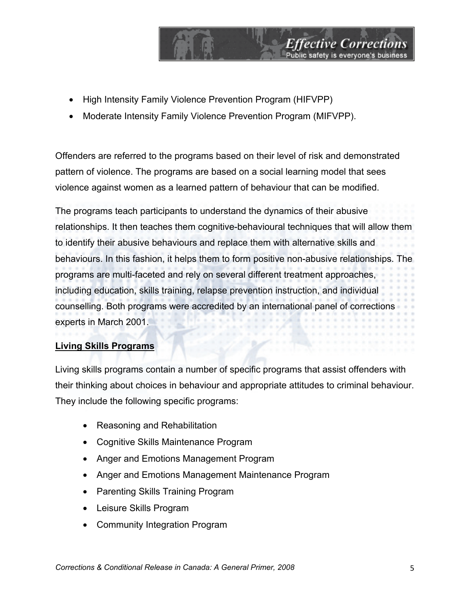- High Intensity Family Violence Prevention Program (HIFVPP)
- Moderate Intensity Family Violence Prevention Program (MIFVPP).

Offenders are referred to the programs based on their level of risk and demonstrated pattern of violence. The programs are based on a social learning model that sees violence against women as a learned pattern of behaviour that can be modified.

*Effective Corrections*<br>Public safety is everyone's business

The programs teach participants to understand the dynamics of their abusive relationships. It then teaches them cognitive-behavioural techniques that will allow them to identify their abusive behaviours and replace them with alternative skills and behaviours. In this fashion, it helps them to form positive non-abusive relationships. The programs are multi-faceted and rely on several different treatment approaches, including education, skills training, relapse prevention instruction, and individual counselling. Both programs were accredited by an international panel of corrections experts in March 2001.

# **Living Skills Programs**

Living skills programs contain a number of specific programs that assist offenders with their thinking about choices in behaviour and appropriate attitudes to criminal behaviour. They include the following specific programs:

- Reasoning and Rehabilitation
- Cognitive Skills Maintenance Program
- Anger and Emotions Management Program
- Anger and Emotions Management Maintenance Program
- Parenting Skills Training Program
- Leisure Skills Program
- Community Integration Program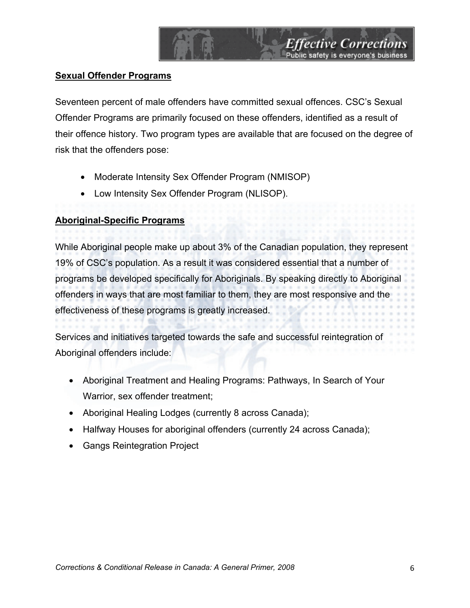### **Sexual Offender Programs**

Seventeen percent of male offenders have committed sexual offences. CSC's Sexual Offender Programs are primarily focused on these offenders, identified as a result of their offence history. Two program types are available that are focused on the degree of risk that the offenders pose:

*Effective Corrections*<br>Public safety is everyone's business

- Moderate Intensity Sex Offender Program (NMISOP)
- Low Intensity Sex Offender Program (NLISOP).

#### **Aboriginal-Specific Programs**

While Aboriginal people make up about 3% of the Canadian population, they represent 19% of CSC's population. As a result it was considered essential that a number of programs be developed specifically for Aboriginals. By speaking directly to Aboriginal offenders in ways that are most familiar to them, they are most responsive and the effectiveness of these programs is greatly increased.

Services and initiatives targeted towards the safe and successful reintegration of Aboriginal offenders include:

- Aboriginal Treatment and Healing Programs: Pathways, In Search of Your Warrior, sex offender treatment;
- Aboriginal Healing Lodges (currently 8 across Canada);
- Halfway Houses for aboriginal offenders (currently 24 across Canada);
- Gangs Reintegration Project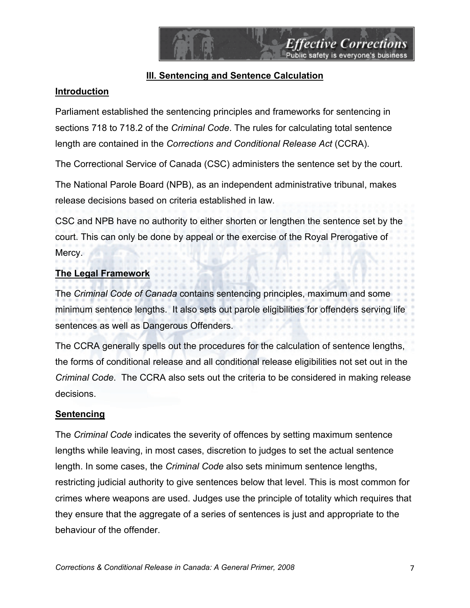# **III. Sentencing and Sentence Calculation**

### **Introduction**

Parliament established the sentencing principles and frameworks for sentencing in sections 718 to 718.2 of the *Criminal Code*. The rules for calculating total sentence length are contained in the *Corrections and Conditional Release Act* (CCRA).

The Correctional Service of Canada (CSC) administers the sentence set by the court.

The National Parole Board (NPB), as an independent administrative tribunal, makes release decisions based on criteria established in law.

CSC and NPB have no authority to either shorten or lengthen the sentence set by the court. This can only be done by appeal or the exercise of the Royal Prerogative of Mercy.

# **The Legal Framework**

The *Criminal Code of Canada* contains sentencing principles, maximum and some minimum sentence lengths. It also sets out parole eligibilities for offenders serving life sentences as well as Dangerous Offenders.

The CCRA generally spells out the procedures for the calculation of sentence lengths, the forms of conditional release and all conditional release eligibilities not set out in the *Criminal Code*. The CCRA also sets out the criteria to be considered in making release decisions.

#### **Sentencing**

The *Criminal Code* indicates the severity of offences by setting maximum sentence lengths while leaving, in most cases, discretion to judges to set the actual sentence length. In some cases, the *Criminal Code* also sets minimum sentence lengths, restricting judicial authority to give sentences below that level. This is most common for crimes where weapons are used. Judges use the principle of totality which requires that they ensure that the aggregate of a series of sentences is just and appropriate to the behaviour of the offender.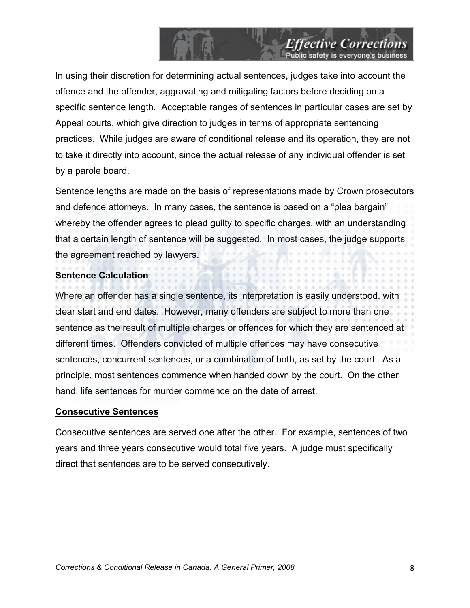In using their discretion for determining actual sentences, judges take into account the offence and the offender, aggravating and mitigating factors before deciding on a specific sentence length. Acceptable ranges of sentences in particular cases are set by Appeal courts, which give direction to judges in terms of appropriate sentencing practices. While judges are aware of conditional release and its operation, they are not to take it directly into account, since the actual release of any individual offender is set by a parole board.

*Effective Corrections*<br>Public safety is everyone's business

Sentence lengths are made on the basis of representations made by Crown prosecutors and defence attorneys. In many cases, the sentence is based on a "plea bargain" whereby the offender agrees to plead guilty to specific charges, with an understanding that a certain length of sentence will be suggested. In most cases, the judge supports the agreement reached by lawyers.

### **Sentence Calculation**

Where an offender has a single sentence, its interpretation is easily understood, with clear start and end dates. However, many offenders are subject to more than one sentence as the result of multiple charges or offences for which they are sentenced at different times. Offenders convicted of multiple offences may have consecutive sentences, concurrent sentences, or a combination of both, as set by the court. As a principle, most sentences commence when handed down by the court. On the other hand, life sentences for murder commence on the date of arrest.

#### **Consecutive Sentences**

Consecutive sentences are served one after the other. For example, sentences of two years and three years consecutive would total five years. A judge must specifically direct that sentences are to be served consecutively.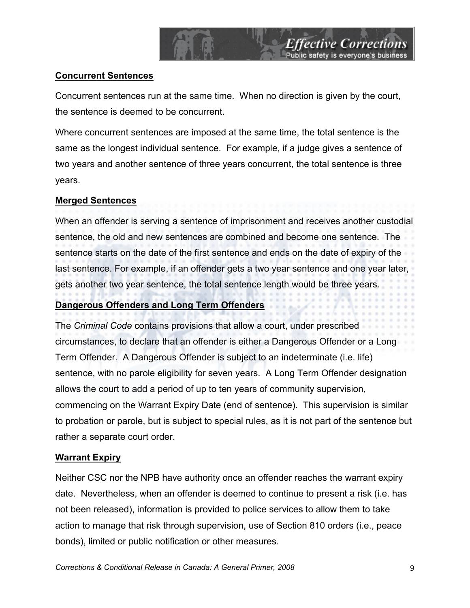

### **Concurrent Sentences**

Concurrent sentences run at the same time. When no direction is given by the court, the sentence is deemed to be concurrent.

Where concurrent sentences are imposed at the same time, the total sentence is the same as the longest individual sentence. For example, if a judge gives a sentence of two years and another sentence of three years concurrent, the total sentence is three years.

### **Merged Sentences**

When an offender is serving a sentence of imprisonment and receives another custodial sentence, the old and new sentences are combined and become one sentence. The sentence starts on the date of the first sentence and ends on the date of expiry of the last sentence. For example, if an offender gets a two year sentence and one year later, gets another two year sentence, the total sentence length would be three years.

# **Dangerous Offenders and Long Term Offenders**

The *Criminal Code* contains provisions that allow a court, under prescribed circumstances, to declare that an offender is either a Dangerous Offender or a Long Term Offender. A Dangerous Offender is subject to an indeterminate (i.e. life) sentence, with no parole eligibility for seven years. A Long Term Offender designation allows the court to add a period of up to ten years of community supervision, commencing on the Warrant Expiry Date (end of sentence). This supervision is similar to probation or parole, but is subject to special rules, as it is not part of the sentence but rather a separate court order.

#### **Warrant Expiry**

Neither CSC nor the NPB have authority once an offender reaches the warrant expiry date. Nevertheless, when an offender is deemed to continue to present a risk (i.e. has not been released), information is provided to police services to allow them to take action to manage that risk through supervision, use of Section 810 orders (i.e., peace bonds), limited or public notification or other measures.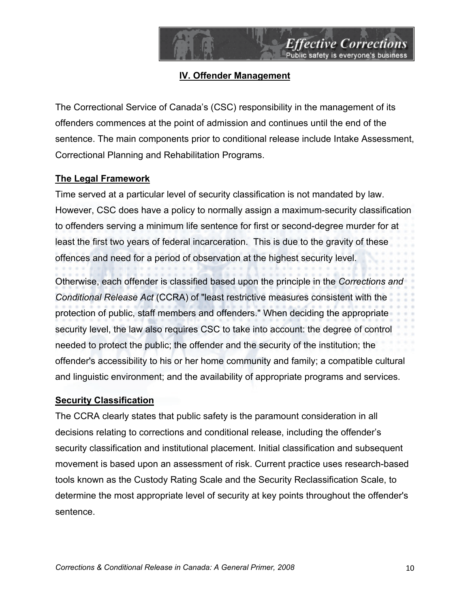

# **IV. Offender Management**

The Correctional Service of Canada's (CSC) responsibility in the management of its offenders commences at the point of admission and continues until the end of the sentence. The main components prior to conditional release include Intake Assessment, Correctional Planning and Rehabilitation Programs.

# **The Legal Framework**

Time served at a particular level of security classification is not mandated by law. However, CSC does have a policy to normally assign a maximum-security classification to offenders serving a minimum life sentence for first or second-degree murder for at least the first two years of federal incarceration. This is due to the gravity of these offences and need for a period of observation at the highest security level.

Otherwise, each offender is classified based upon the principle in the *Corrections and Conditional Release Act* (CCRA) of "least restrictive measures consistent with the protection of public, staff members and offenders." When deciding the appropriate security level, the law also requires CSC to take into account: the degree of control needed to protect the public; the offender and the security of the institution; the offender's accessibility to his or her home community and family; a compatible cultural and linguistic environment; and the availability of appropriate programs and services.

# **Security Classification**

The CCRA clearly states that public safety is the paramount consideration in all decisions relating to corrections and conditional release, including the offender's security classification and institutional placement. Initial classification and subsequent movement is based upon an assessment of risk. Current practice uses research-based tools known as the Custody Rating Scale and the Security Reclassification Scale, to determine the most appropriate level of security at key points throughout the offender's sentence.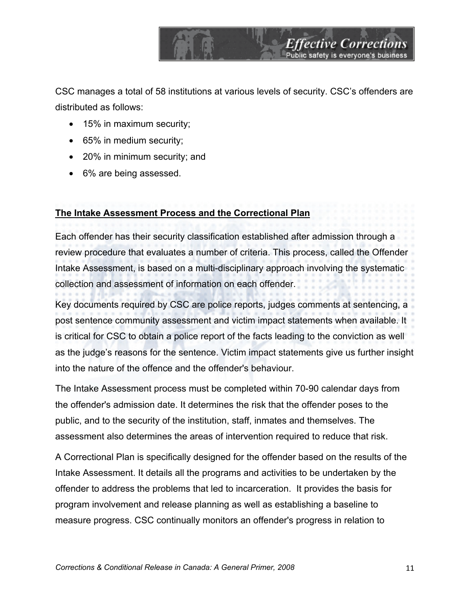CSC manages a total of 58 institutions at various levels of security. CSC's offenders are distributed as follows:

*Effective Corrections*<br>Public safety is everyone's business

- 15% in maximum security;
- 65% in medium security;
- 20% in minimum security; and
- 6% are being assessed.

# **The Intake Assessment Process and the Correctional Plan**

Each offender has their security classification established after admission through a review procedure that evaluates a number of criteria. This process, called the Offender Intake Assessment, is based on a multi-disciplinary approach involving the systematic collection and assessment of information on each offender.

Key documents required by CSC are police reports, judges comments at sentencing, a post sentence community assessment and victim impact statements when available. It is critical for CSC to obtain a police report of the facts leading to the conviction as well as the judge's reasons for the sentence. Victim impact statements give us further insight into the nature of the offence and the offender's behaviour.

The Intake Assessment process must be completed within 70-90 calendar days from the offender's admission date. It determines the risk that the offender poses to the public, and to the security of the institution, staff, inmates and themselves. The assessment also determines the areas of intervention required to reduce that risk.

A Correctional Plan is specifically designed for the offender based on the results of the Intake Assessment. It details all the programs and activities to be undertaken by the offender to address the problems that led to incarceration. It provides the basis for program involvement and release planning as well as establishing a baseline to measure progress. CSC continually monitors an offender's progress in relation to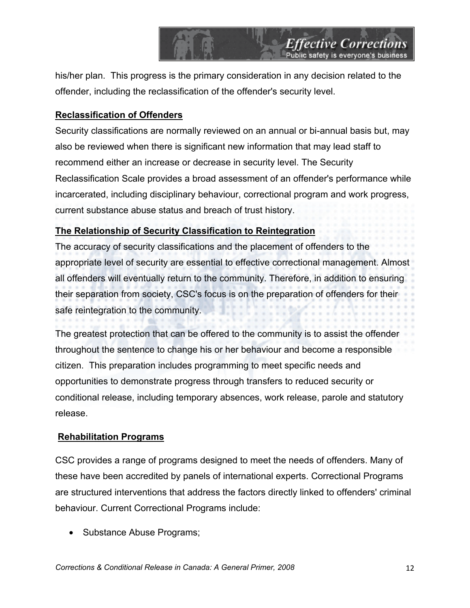his/her plan. This progress is the primary consideration in any decision related to the offender, including the reclassification of the offender's security level.

**Effective Corrections** 

## **Reclassification of Offenders**

Security classifications are normally reviewed on an annual or bi-annual basis but, may also be reviewed when there is significant new information that may lead staff to recommend either an increase or decrease in security level. The Security Reclassification Scale provides a broad assessment of an offender's performance while incarcerated, including disciplinary behaviour, correctional program and work progress, current substance abuse status and breach of trust history.

# **The Relationship of Security Classification to Reintegration**

The accuracy of security classifications and the placement of offenders to the appropriate level of security are essential to effective correctional management. Almost all offenders will eventually return to the community. Therefore, in addition to ensuring their separation from society, CSC's focus is on the preparation of offenders for their safe reintegration to the community.

The greatest protection that can be offered to the community is to assist the offender throughout the sentence to change his or her behaviour and become a responsible citizen. This preparation includes programming to meet specific needs and opportunities to demonstrate progress through transfers to reduced security or conditional release, including temporary absences, work release, parole and statutory release.

#### **Rehabilitation Programs**

CSC provides a range of programs designed to meet the needs of offenders. Many of these have been accredited by panels of international experts. Correctional Programs are structured interventions that address the factors directly linked to offenders' criminal behaviour. Current Correctional Programs include:

• Substance Abuse Programs;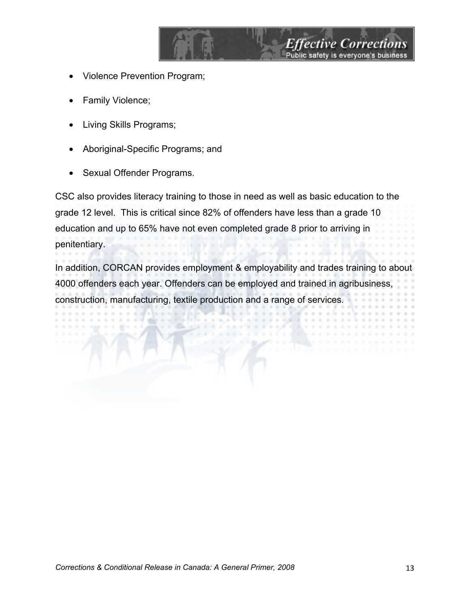- Violence Prevention Program;
- Family Violence;
- Living Skills Programs;
- Aboriginal-Specific Programs; and
- Sexual Offender Programs.

CSC also provides literacy training to those in need as well as basic education to the grade 12 level. This is critical since 82% of offenders have less than a grade 10 education and up to 65% have not even completed grade 8 prior to arriving in penitentiary.

*Effective Corrections*<br>Public safety is everyone's business

In addition, CORCAN provides employment & employability and trades training to about 4000 offenders each year. Offenders can be employed and trained in agribusiness, construction, manufacturing, textile production and a range of services.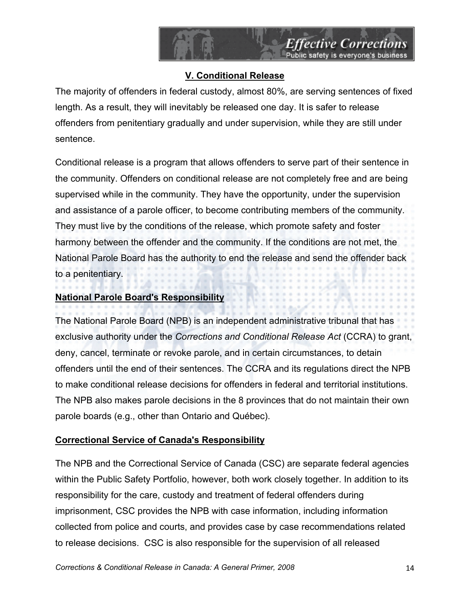# **V. Conditional Release**

The majority of offenders in federal custody, almost 80%, are serving sentences of fixed length. As a result, they will inevitably be released one day. It is safer to release offenders from penitentiary gradually and under supervision, while they are still under sentence.

Conditional release is a program that allows offenders to serve part of their sentence in the community. Offenders on conditional release are not completely free and are being supervised while in the community. They have the opportunity, under the supervision and assistance of a parole officer, to become contributing members of the community. They must live by the conditions of the release, which promote safety and foster harmony between the offender and the community. If the conditions are not met, the National Parole Board has the authority to end the release and send the offender back to a penitentiary.

# **National Parole Board's Responsibility**

The National Parole Board (NPB) is an independent administrative tribunal that has exclusive authority under the *Corrections and Conditional Release Act* (CCRA) to grant, deny, cancel, terminate or revoke parole, and in certain circumstances, to detain offenders until the end of their sentences. The CCRA and its regulations direct the NPB to make conditional release decisions for offenders in federal and territorial institutions. The NPB also makes parole decisions in the 8 provinces that do not maintain their own parole boards (e.g., other than Ontario and Québec).

# **Correctional Service of Canada's Responsibility**

The NPB and the Correctional Service of Canada (CSC) are separate federal agencies within the Public Safety Portfolio, however, both work closely together. In addition to its responsibility for the care, custody and treatment of federal offenders during imprisonment, CSC provides the NPB with case information, including information collected from police and courts, and provides case by case recommendations related to release decisions. CSC is also responsible for the supervision of all released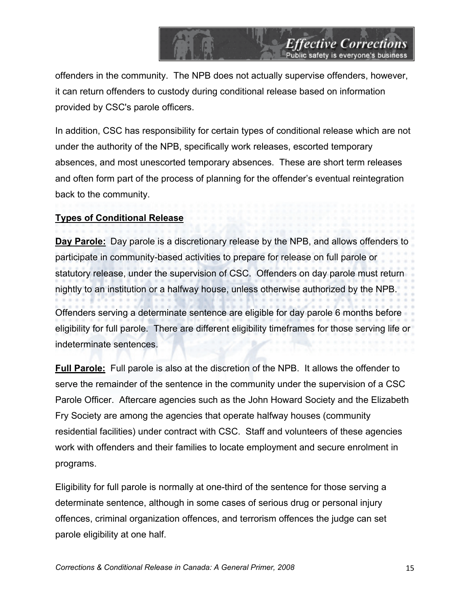offenders in the community. The NPB does not actually supervise offenders, however, it can return offenders to custody during conditional release based on information provided by CSC's parole officers.

*Effective Corrections*<br>Public safety is everyone's business

In addition, CSC has responsibility for certain types of conditional release which are not under the authority of the NPB, specifically work releases, escorted temporary absences, and most unescorted temporary absences. These are short term releases and often form part of the process of planning for the offender's eventual reintegration back to the community.

# **Types of Conditional Release**

**Day Parole:** Day parole is a discretionary release by the NPB, and allows offenders to participate in community-based activities to prepare for release on full parole or statutory release, under the supervision of CSC. Offenders on day parole must return nightly to an institution or a halfway house, unless otherwise authorized by the NPB.

Offenders serving a determinate sentence are eligible for day parole 6 months before eligibility for full parole. There are different eligibility timeframes for those serving life or indeterminate sentences.

**Full Parole:** Full parole is also at the discretion of the NPB. It allows the offender to serve the remainder of the sentence in the community under the supervision of a CSC Parole Officer. Aftercare agencies such as the John Howard Society and the Elizabeth Fry Society are among the agencies that operate halfway houses (community residential facilities) under contract with CSC. Staff and volunteers of these agencies work with offenders and their families to locate employment and secure enrolment in programs.

Eligibility for full parole is normally at one-third of the sentence for those serving a determinate sentence, although in some cases of serious drug or personal injury offences, criminal organization offences, and terrorism offences the judge can set parole eligibility at one half.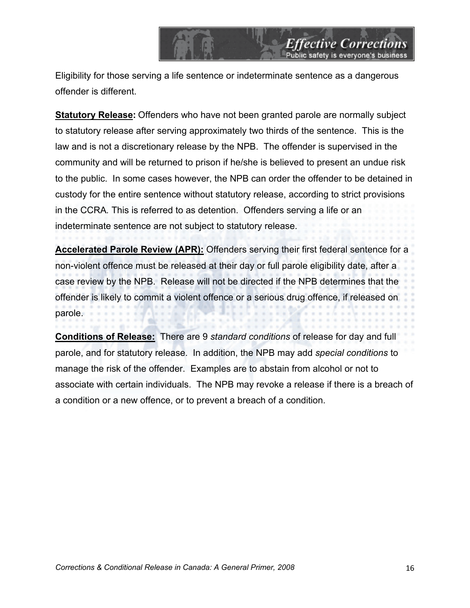Eligibility for those serving a life sentence or indeterminate sentence as a dangerous offender is different.

*Effective Corrections*<br>Public safety is everyone's business

**Statutory Release:** Offenders who have not been granted parole are normally subject to statutory release after serving approximately two thirds of the sentence. This is the law and is not a discretionary release by the NPB. The offender is supervised in the community and will be returned to prison if he/she is believed to present an undue risk to the public. In some cases however, the NPB can order the offender to be detained in custody for the entire sentence without statutory release, according to strict provisions in the CCRA*.* This is referred to as detention. Offenders serving a life or an indeterminate sentence are not subject to statutory release.

**Accelerated Parole Review (APR):** Offenders serving their first federal sentence for a non-violent offence must be released at their day or full parole eligibility date, after a case review by the NPB. Release will not be directed if the NPB determines that the offender is likely to commit a violent offence or a serious drug offence, if released on parole.

**Conditions of Release:** There are 9 *standard conditions* of release for day and full parole, and for statutory release. In addition, the NPB may add *special conditions* to manage the risk of the offender. Examples are to abstain from alcohol or not to associate with certain individuals. The NPB may revoke a release if there is a breach of a condition or a new offence, or to prevent a breach of a condition.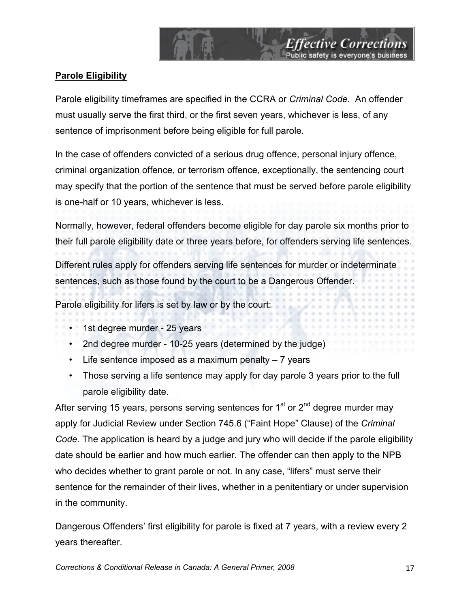**Parole Eligibility**

Parole eligibility timeframes are specified in the CCRA or *Criminal Code.* An offender must usually serve the first third, or the first seven years, whichever is less, of any sentence of imprisonment before being eligible for full parole.

*Effective Corrections*<br>Public safety is everyone's business

In the case of offenders convicted of a serious drug offence, personal injury offence, criminal organization offence, or terrorism offence, exceptionally, the sentencing court may specify that the portion of the sentence that must be served before parole eligibility is one-half or 10 years, whichever is less.

Normally, however, federal offenders become eligible for day parole six months prior to their full parole eligibility date or three years before, for offenders serving life sentences.

Different rules apply for offenders serving life sentences for murder or indeterminate sentences, such as those found by the court to be a Dangerous Offender.

Parole eligibility for lifers is set by law or by the court:

- $\cdot$  1st degree murder 25 years
	- 2nd degree murder 10-25 years (determined by the judge)
	- $\cdot$  Life sentence imposed as a maximum penalty  $-7$  years
	- Those serving a life sentence may apply for day parole 3 years prior to the full parole eligibility date.

After serving 15 years, persons serving sentences for  $1<sup>st</sup>$  or  $2<sup>nd</sup>$  degree murder may apply for Judicial Review under Section 745.6 ("Faint Hope" Clause) of the *Criminal Code*. The application is heard by a judge and jury who will decide if the parole eligibility date should be earlier and how much earlier. The offender can then apply to the NPB who decides whether to grant parole or not. In any case, "lifers" must serve their sentence for the remainder of their lives, whether in a penitentiary or under supervision in the community.

Dangerous Offenders' first eligibility for parole is fixed at 7 years, with a review every 2 years thereafter.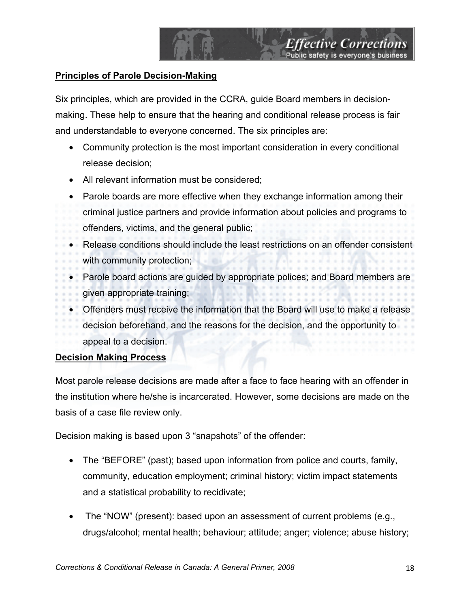# **Principles of Parole Decision-Making**

Six principles, which are provided in the CCRA, guide Board members in decisionmaking. These help to ensure that the hearing and conditional release process is fair and understandable to everyone concerned. The six principles are:

- Community protection is the most important consideration in every conditional release decision;
- All relevant information must be considered;
- Parole boards are more effective when they exchange information among their
- criminal justice partners and provide information about policies and programs to offenders, victims, and the general public;
- Release conditions should include the least restrictions on an offender consistent with community protection;
- Parole board actions are guided by appropriate polices; and Board members are given appropriate training;
- Offenders must receive the information that the Board will use to make a release
	- decision beforehand, and the reasons for the decision, and the opportunity to
- appeal to a decision.

# **Decision Making Process**

Most parole release decisions are made after a face to face hearing with an offender in the institution where he/she is incarcerated. However, some decisions are made on the basis of a case file review only.

Decision making is based upon 3 "snapshots" of the offender:

- The "BEFORE" (past); based upon information from police and courts, family, community, education employment; criminal history; victim impact statements and a statistical probability to recidivate;
- The "NOW" (present): based upon an assessment of current problems (e.g., drugs/alcohol; mental health; behaviour; attitude; anger; violence; abuse history;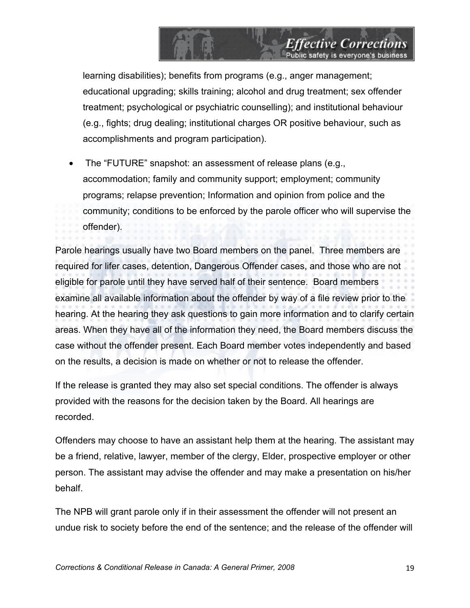learning disabilities); benefits from programs (e.g., anger management; educational upgrading; skills training; alcohol and drug treatment; sex offender treatment; psychological or psychiatric counselling); and institutional behaviour (e.g., fights; drug dealing; institutional charges OR positive behaviour, such as accomplishments and program participation).

**Effective Corrections** 

• The "FUTURE" snapshot: an assessment of release plans (e.g., accommodation; family and community support; employment; community programs; relapse prevention; Information and opinion from police and the community; conditions to be enforced by the parole officer who will supervise the offender).

Parole hearings usually have two Board members on the panel. Three members are required for lifer cases, detention, Dangerous Offender cases, and those who are not eligible for parole until they have served half of their sentence. Board members examine all available information about the offender by way of a file review prior to the hearing. At the hearing they ask questions to gain more information and to clarify certain areas. When they have all of the information they need, the Board members discuss the case without the offender present. Each Board member votes independently and based on the results, a decision is made on whether or not to release the offender.

If the release is granted they may also set special conditions. The offender is always provided with the reasons for the decision taken by the Board. All hearings are recorded.

Offenders may choose to have an assistant help them at the hearing. The assistant may be a friend, relative, lawyer, member of the clergy, Elder, prospective employer or other person. The assistant may advise the offender and may make a presentation on his/her behalf.

The NPB will grant parole only if in their assessment the offender will not present an undue risk to society before the end of the sentence; and the release of the offender will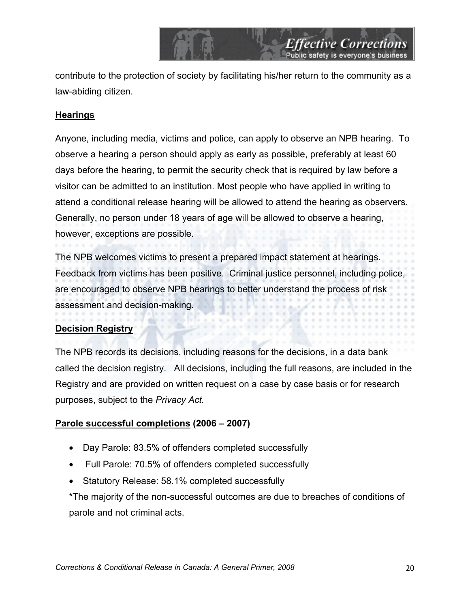contribute to the protection of society by facilitating his/her return to the community as a law-abiding citizen.

*Effective Corrections*<br>Public safety is everyone's business

#### **Hearings**

Anyone, including media, victims and police, can apply to observe an NPB hearing. To observe a hearing a person should apply as early as possible, preferably at least 60 days before the hearing, to permit the security check that is required by law before a visitor can be admitted to an institution. Most people who have applied in writing to attend a conditional release hearing will be allowed to attend the hearing as observers. Generally, no person under 18 years of age will be allowed to observe a hearing, however, exceptions are possible.

The NPB welcomes victims to present a prepared impact statement at hearings. Feedback from victims has been positive. Criminal justice personnel, including police, are encouraged to observe NPB hearings to better understand the process of risk assessment and decision-making.

#### **Decision Registry**

The NPB records its decisions, including reasons for the decisions, in a data bank called the decision registry. All decisions, including the full reasons, are included in the Registry and are provided on written request on a case by case basis or for research purposes, subject to the *Privacy Act.* 

#### **Parole successful completions (2006 – 2007)**

- Day Parole: 83.5% of offenders completed successfully
- Full Parole: 70.5% of offenders completed successfully
- Statutory Release: 58.1% completed successfully

\*The majority of the non-successful outcomes are due to breaches of conditions of parole and not criminal acts.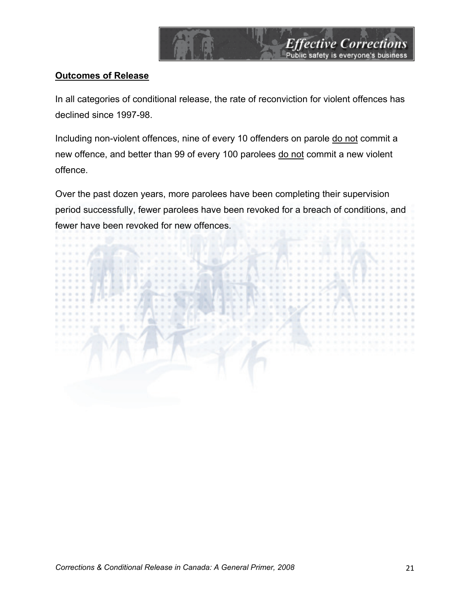

## **Outcomes of Release**

In all categories of conditional release, the rate of reconviction for violent offences has declined since 1997-98.

Including non-violent offences, nine of every 10 offenders on parole do not commit a new offence, and better than 99 of every 100 parolees do not commit a new violent offence.

Over the past dozen years, more parolees have been completing their supervision period successfully, fewer parolees have been revoked for a breach of conditions, and fewer have been revoked for new offences.

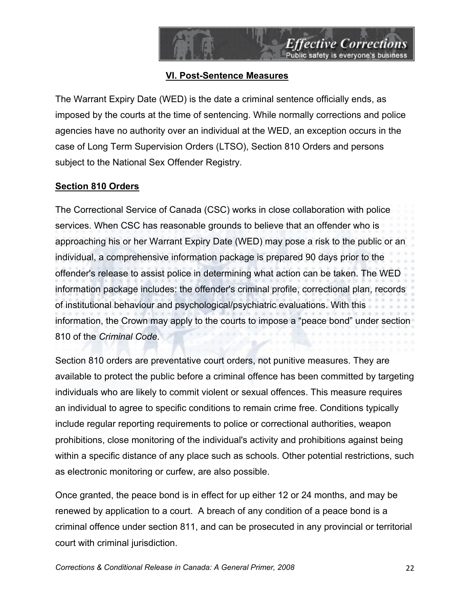

# **VI. Post-Sentence Measures**

The Warrant Expiry Date (WED) is the date a criminal sentence officially ends, as imposed by the courts at the time of sentencing. While normally corrections and police agencies have no authority over an individual at the WED, an exception occurs in the case of Long Term Supervision Orders (LTSO), Section 810 Orders and persons subject to the National Sex Offender Registry.

# **Section 810 Orders**

The Correctional Service of Canada (CSC) works in close collaboration with police services. When CSC has reasonable grounds to believe that an offender who is approaching his or her Warrant Expiry Date (WED) may pose a risk to the public or an individual, a comprehensive information package is prepared 90 days prior to the offender's release to assist police in determining what action can be taken. The WED information package includes: the offender's criminal profile, correctional plan, records of institutional behaviour and psychological/psychiatric evaluations. With this information, the Crown may apply to the courts to impose a "peace bond" under section 810 of the *Criminal Code*.

Section 810 orders are preventative court orders, not punitive measures. They are available to protect the public before a criminal offence has been committed by targeting individuals who are likely to commit violent or sexual offences. This measure requires an individual to agree to specific conditions to remain crime free. Conditions typically include regular reporting requirements to police or correctional authorities, weapon prohibitions, close monitoring of the individual's activity and prohibitions against being within a specific distance of any place such as schools. Other potential restrictions, such as electronic monitoring or curfew, are also possible.

Once granted, the peace bond is in effect for up either 12 or 24 months, and may be renewed by application to a court. A breach of any condition of a peace bond is a criminal offence under section 811, and can be prosecuted in any provincial or territorial court with criminal jurisdiction.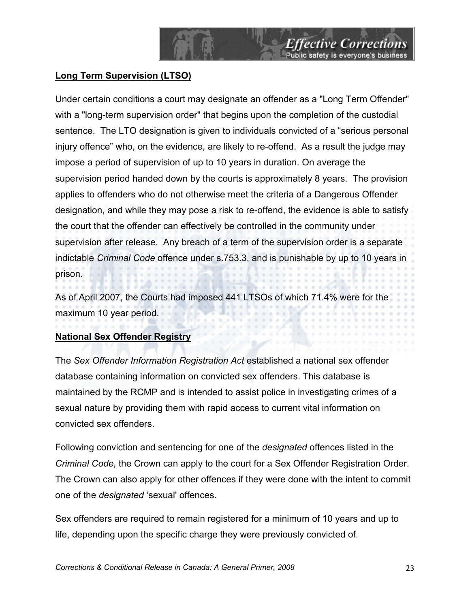# **Long Term Supervision (LTSO)**

Under certain conditions a court may designate an offender as a "Long Term Offender" with a "long-term supervision order" that begins upon the completion of the custodial sentence. The LTO designation is given to individuals convicted of a "serious personal injury offence" who, on the evidence, are likely to re-offend. As a result the judge may impose a period of supervision of up to 10 years in duration. On average the supervision period handed down by the courts is approximately 8 years. The provision applies to offenders who do not otherwise meet the criteria of a Dangerous Offender designation, and while they may pose a risk to re-offend, the evidence is able to satisfy the court that the offender can effectively be controlled in the community under supervision after release. Any breach of a term of the supervision order is a separate indictable *Criminal Code* offence under s.753.3, and is punishable by up to 10 years in prison.

As of April 2007, the Courts had imposed 441 LTSOs of which 71.4% were for the  $-1$  ,  $-1$  ,  $-1$  ,  $-1$  ,  $-1$  ,  $-1$ maximum 10 year period.

# **National Sex Offender Registry**

The *Sex Offender Information Registration Act* established a national sex offender database containing information on convicted sex offenders. This database is maintained by the RCMP and is intended to assist police in investigating crimes of a sexual nature by providing them with rapid access to current vital information on convicted sex offenders.

Following conviction and sentencing for one of the *designated* offences listed in the *Criminal Code*, the Crown can apply to the court for a Sex Offender Registration Order. The Crown can also apply for other offences if they were done with the intent to commit one of the *designated* 'sexual' offences.

Sex offenders are required to remain registered for a minimum of 10 years and up to life, depending upon the specific charge they were previously convicted of.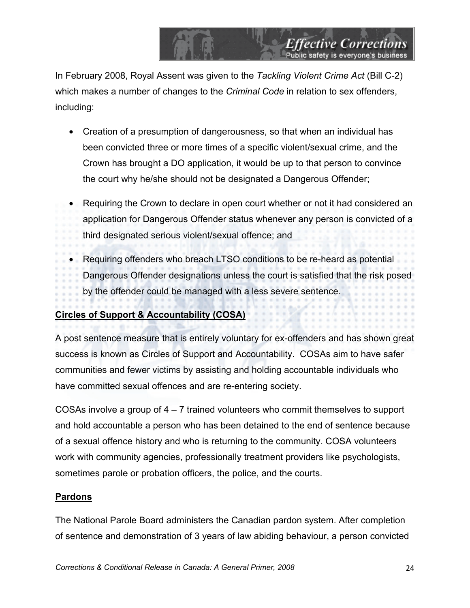In February 2008, Royal Assent was given to the *Tackling Violent Crime Act* (Bill C-2) which makes a number of changes to the *Criminal Code* in relation to sex offenders, including:

*Effective Corrections*<br>Public safety is everyone's business

- Creation of a presumption of dangerousness, so that when an individual has been convicted three or more times of a specific violent/sexual crime, and the Crown has brought a DO application, it would be up to that person to convince the court why he/she should not be designated a Dangerous Offender;
- Requiring the Crown to declare in open court whether or not it had considered an application for Dangerous Offender status whenever any person is convicted of a third designated serious violent/sexual offence; and
- Requiring offenders who breach LTSO conditions to be re-heard as potential Dangerous Offender designations unless the court is satisfied that the risk posed by the offender could be managed with a less severe sentence.

# **Circles of Support & Accountability (COSA)**

A post sentence measure that is entirely voluntary for ex-offenders and has shown great success is known as Circles of Support and Accountability. COSAs aim to have safer communities and fewer victims by assisting and holding accountable individuals who have committed sexual offences and are re-entering society.

COSAs involve a group of 4 – 7 trained volunteers who commit themselves to support and hold accountable a person who has been detained to the end of sentence because of a sexual offence history and who is returning to the community. COSA volunteers work with community agencies, professionally treatment providers like psychologists, sometimes parole or probation officers, the police, and the courts.

# **Pardons**

The National Parole Board administers the Canadian pardon system. After completion of sentence and demonstration of 3 years of law abiding behaviour, a person convicted